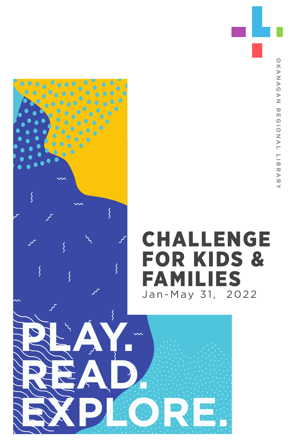

ξ

**EXPLORE.**

# FOR KIDS & FAMILIES<br>Jan-May 31, 2022 Jan-May 31,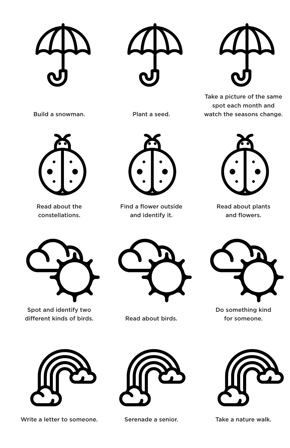Take a picture of the same spot each month and watch the seasons change.



Build a snowman. Plant a seed.

Read about the constellations.



Find a flower outside and identify it.



Read about plants and flowers.



Spot and identify two different kinds of birds. Read about birds.





Do something kind for someone.



Write a letter to someone. Serenade a senior. Take a nature walk.



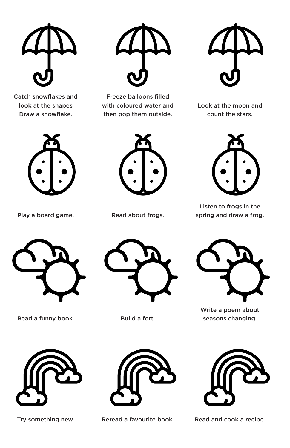

Catch snowflakes and look at the shapes Draw a snowflake.



Play a board game. Read about frogs.



Freeze balloons filled with coloured water and then pop them outside.



Look at the moon and count the stars.





Listen to frogs in the spring and draw a frog.



Read a funny book. Build a fort.







Write a poem about seasons changing.



Try something new. Seread a favourite book. Try something new. Read and cook a recipe.